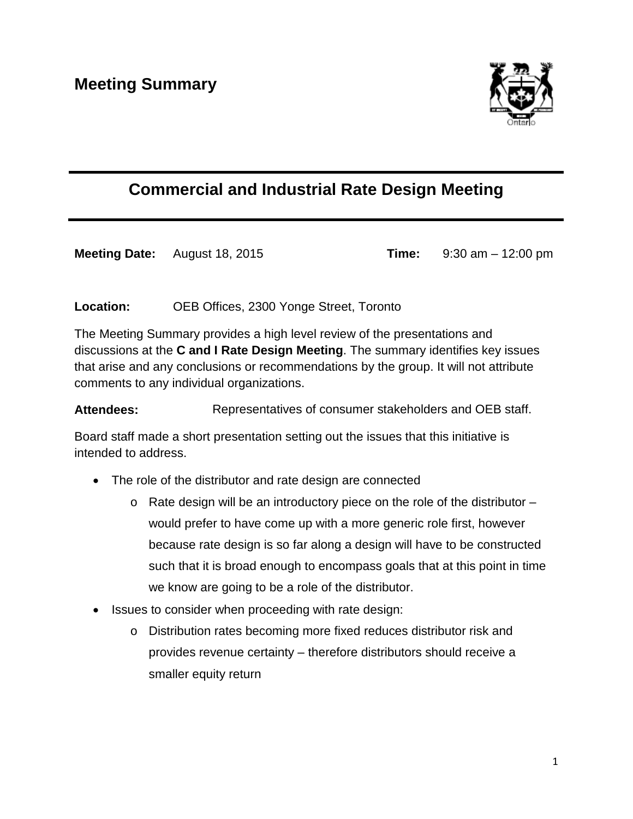

## **Commercial and Industrial Rate Design Meeting**

**Meeting Date:** August 18, 2015 **Time:** 9:30 am – 12:00 pm

**Location:** OEB Offices, 2300 Yonge Street, Toronto

The Meeting Summary provides a high level review of the presentations and discussions at the **C and I Rate Design Meeting**. The summary identifies key issues that arise and any conclusions or recommendations by the group. It will not attribute comments to any individual organizations.

Attendees: Representatives of consumer stakeholders and OEB staff.

Board staff made a short presentation setting out the issues that this initiative is intended to address.

- The role of the distributor and rate design are connected
	- $\circ$  Rate design will be an introductory piece on the role of the distributor would prefer to have come up with a more generic role first, however because rate design is so far along a design will have to be constructed such that it is broad enough to encompass goals that at this point in time we know are going to be a role of the distributor.
- Issues to consider when proceeding with rate design:
	- o Distribution rates becoming more fixed reduces distributor risk and provides revenue certainty – therefore distributors should receive a smaller equity return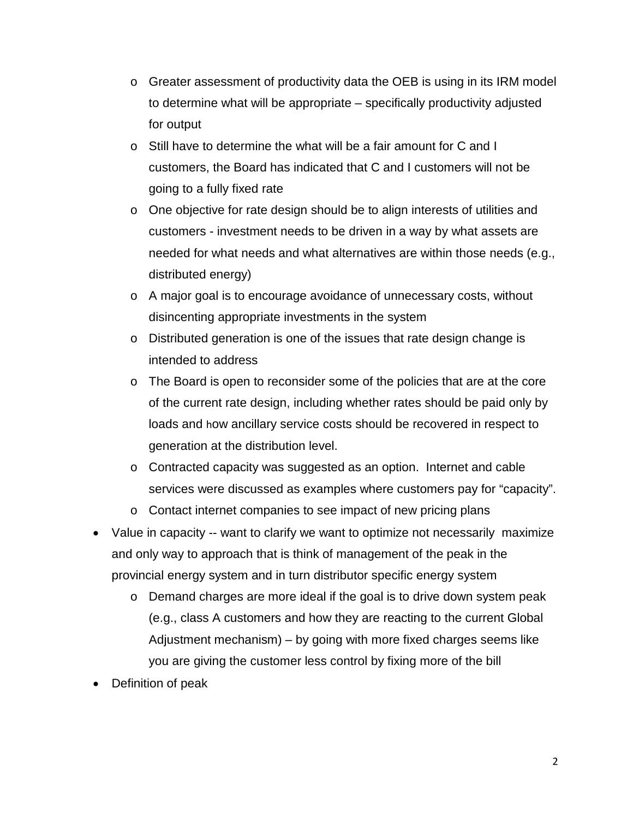- $\circ$  Greater assessment of productivity data the OEB is using in its IRM model to determine what will be appropriate – specifically productivity adjusted for output
- o Still have to determine the what will be a fair amount for C and I customers, the Board has indicated that C and I customers will not be going to a fully fixed rate
- o One objective for rate design should be to align interests of utilities and customers - investment needs to be driven in a way by what assets are needed for what needs and what alternatives are within those needs (e.g., distributed energy)
- o A major goal is to encourage avoidance of unnecessary costs, without disincenting appropriate investments in the system
- o Distributed generation is one of the issues that rate design change is intended to address
- $\circ$  The Board is open to reconsider some of the policies that are at the core of the current rate design, including whether rates should be paid only by loads and how ancillary service costs should be recovered in respect to generation at the distribution level.
- o Contracted capacity was suggested as an option. Internet and cable services were discussed as examples where customers pay for "capacity".
- o Contact internet companies to see impact of new pricing plans
- Value in capacity -- want to clarify we want to optimize not necessarily maximize and only way to approach that is think of management of the peak in the provincial energy system and in turn distributor specific energy system
	- o Demand charges are more ideal if the goal is to drive down system peak (e.g., class A customers and how they are reacting to the current Global Adjustment mechanism) – by going with more fixed charges seems like you are giving the customer less control by fixing more of the bill
- Definition of peak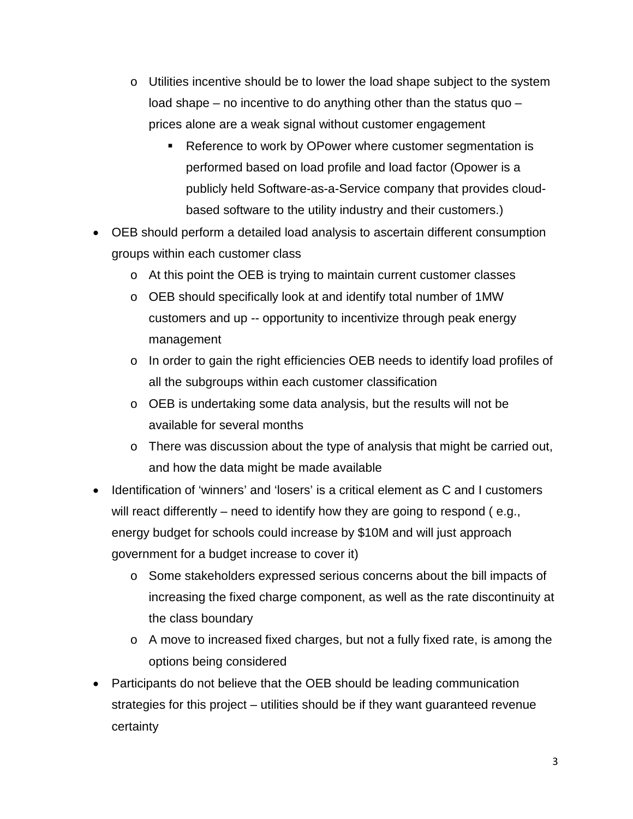- o Utilities incentive should be to lower the load shape subject to the system load shape – no incentive to do anything other than the status quo – prices alone are a weak signal without customer engagement
	- Reference to work by OPower where customer segmentation is performed based on load profile and load factor (Opower is a publicly held Software-as-a-Service company that provides cloudbased software to the utility industry and their customers.)
- OEB should perform a detailed load analysis to ascertain different consumption groups within each customer class
	- o At this point the OEB is trying to maintain current customer classes
	- o OEB should specifically look at and identify total number of 1MW customers and up -- opportunity to incentivize through peak energy management
	- o In order to gain the right efficiencies OEB needs to identify load profiles of all the subgroups within each customer classification
	- o OEB is undertaking some data analysis, but the results will not be available for several months
	- o There was discussion about the type of analysis that might be carried out, and how the data might be made available
- Identification of 'winners' and 'losers' is a critical element as C and I customers will react differently – need to identify how they are going to respond (e.g., energy budget for schools could increase by \$10M and will just approach government for a budget increase to cover it)
	- o Some stakeholders expressed serious concerns about the bill impacts of increasing the fixed charge component, as well as the rate discontinuity at the class boundary
	- o A move to increased fixed charges, but not a fully fixed rate, is among the options being considered
- Participants do not believe that the OEB should be leading communication strategies for this project – utilities should be if they want guaranteed revenue certainty